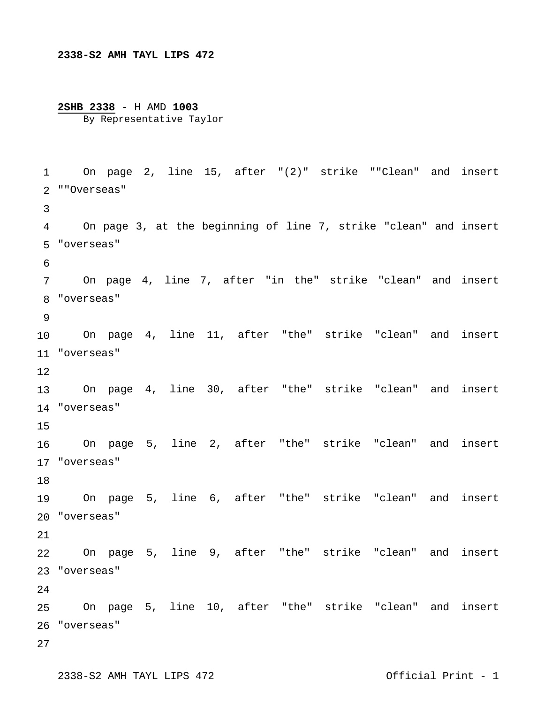## **2338-S2 AMH TAYL LIPS 472**

## **2SHB 2338** - H AMD **1003** By Representative Taylor

 On page 2, line 15, after "(2)" strike ""Clean" and insert ""Overseas" "overseas" "overseas" "overseas" "overseas" "overseas" On page 5, line 6, after "the" strike "clean" and insert "overseas" "overseas" "overseas" On page 3, at the beginning of line 7, strike "clean" and insert On page 4, line 7, after "in the" strike "clean" and insert On page 4, line 11, after "the" strike "clean" and insert On page 4, line 30, after "the" strike "clean" and insert On page 5, line 2, after "the" strike "clean" and insert On page 5, line 9, after "the" strike "clean" and insert On page 5, line 10, after "the" strike "clean" and insert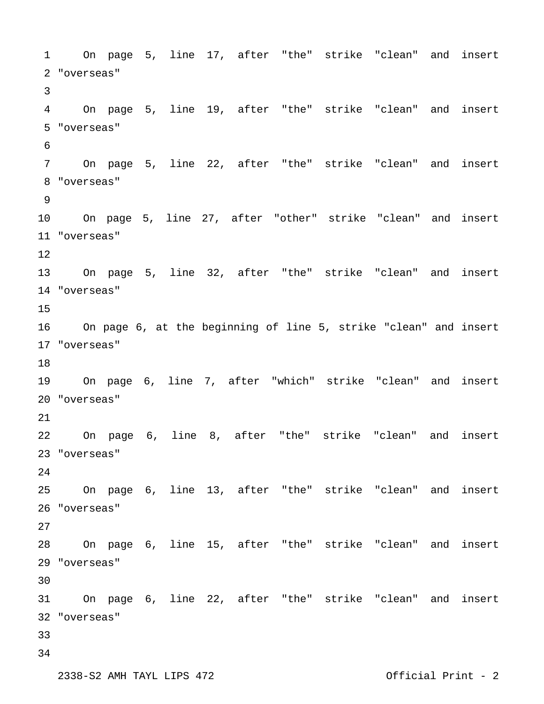On page 5, line 17, after "the" strike "clean" and insert "overseas" On page 5, line 19, after "the" strike "clean" and insert "overseas" On page 5, line 22, after "the" strike "clean" and insert "overseas" On page 5, line 27, after "other" strike "clean" and insert "overseas" On page 5, line 32, after "the" strike "clean" and insert "overseas" "overseas" On page 6, line 7, after "which" strike "clean" and insert "overseas" On page 6, line 8, after "the" strike "clean" and insert "overseas" On page 6, line 13, after "the" strike "clean" and insert "overseas" On page 6, line 15, after "the" strike "clean" and insert "overseas" On page 6, line 22, after "the" strike "clean" and insert "overseas" On page 6, at the beginning of line 5, strike "clean" and insert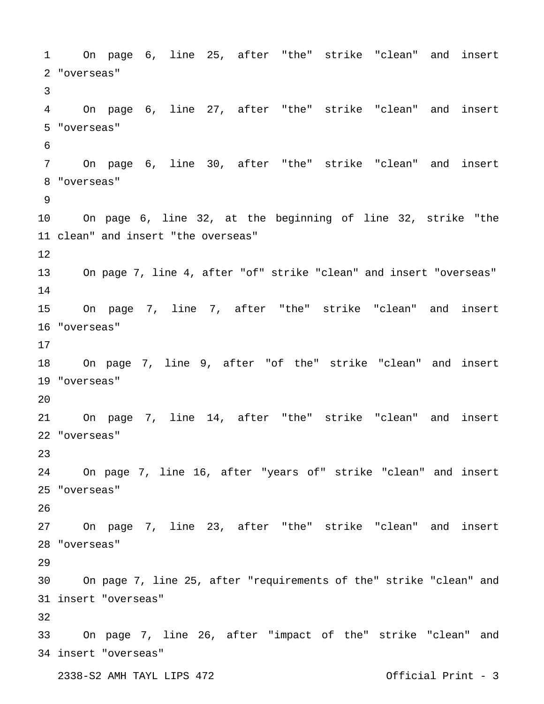2338-S2 AMH TAYL LIPS 472 Official Print - 3 On page 6, line 25, after "the" strike "clean" and insert "overseas" On page 6, line 27, after "the" strike "clean" and insert "overseas" On page 6, line 30, after "the" strike "clean" and insert "overseas" clean" and insert "the overseas" "overseas" "overseas" On page 7, line 14, after "the" strike "clean" and insert "overseas" On page 7, line 16, after "years of" strike "clean" and insert "overseas" On page 7, line 23, after "the" strike "clean" and insert "overseas" insert "overseas" insert "overseas" On page 6, line 32, at the beginning of line 32, strike "the On page 7, line 4, after "of" strike "clean" and insert "overseas" On page 7, line 7, after "the" strike "clean" and insert On page 7, line 9, after "of the" strike "clean" and insert On page 7, line 25, after "requirements of the" strike "clean" and On page 7, line 26, after "impact of the" strike "clean" and